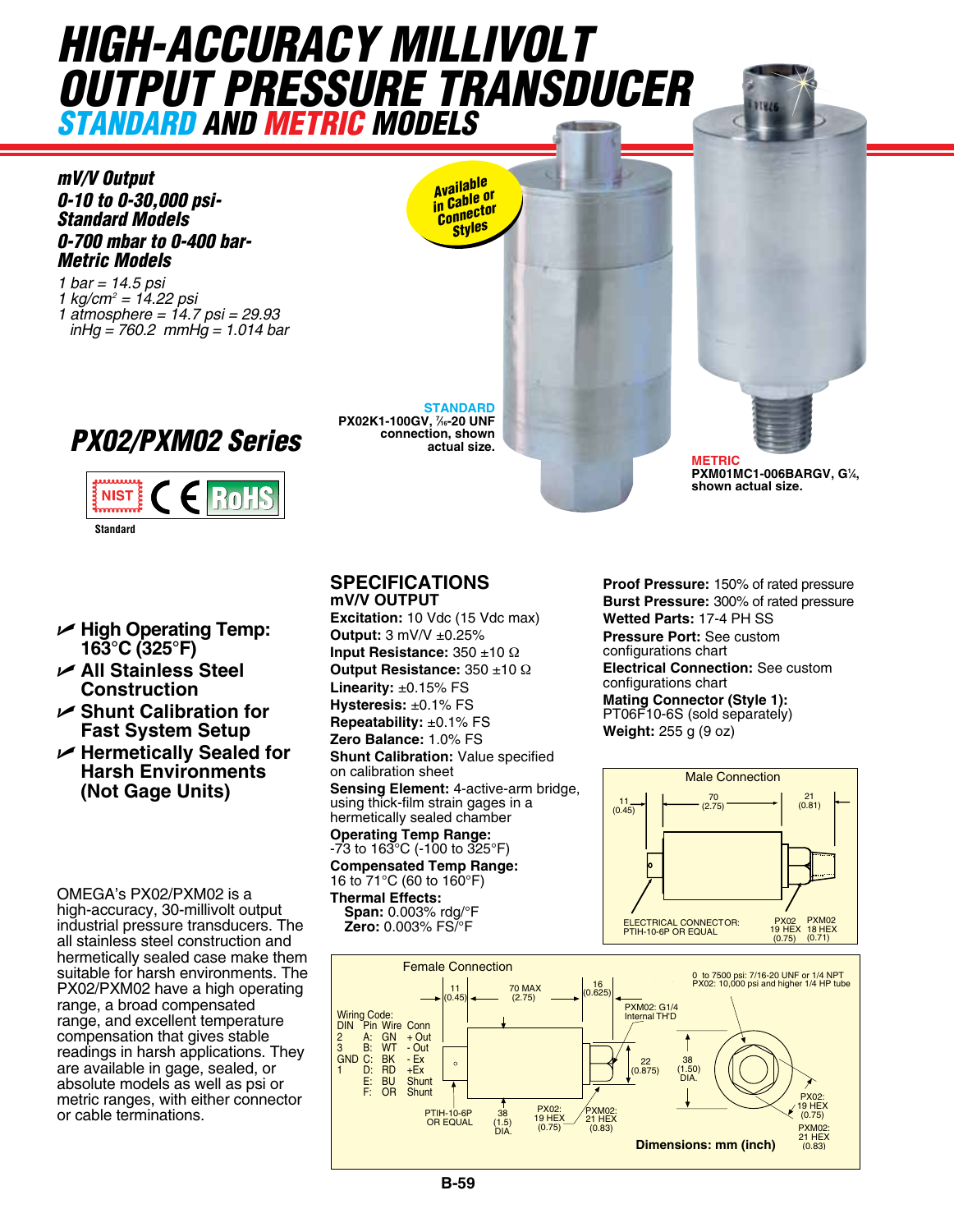## *HIGH-ACCURACY MILLIVOLT OUTPUT PRESSURE TRANSDUCER standard and Metric models*



*1 bar = 14.5 psi 1 kg/cm2 = 14.22 psi 1 atmosphere = 14.7 psi = 29.93 inHg = 760.2 mmHg = 1.014 bar*





- U **High Operating Temp: 163°C (325°F)**
- U **All Stainless Steel Construction**
- U **Shunt Calibration for Fast System Setup**
- U **Hermetically Sealed for Harsh Environments (Not Gage Units)**

OMEGA's PX02/PXM02 is a high-accuracy, 30-millivolt output industrial pressure transducers. The all stainless steel construction and hermetically sealed case make them suitable for harsh environments. The PX02/PXM02 have a high operating range, a broad compensated range, and excellent temperature compensation that gives stable readings in harsh applications. They are available in gage, sealed, or absolute models as well as psi or metric ranges, with either connector or cable terminations.

**connection, shown actual size.**

**PX02K1-100GV, 7 ⁄16-20 UNF** 

**STANDARD**

*Available in Cable or Connector Styles*

## **SPECIFICATIONS mV/V Output**

**Excitation:** 10 Vdc (15 Vdc max) **Output:** 3 mV/V ±0.25% **Input Resistance:** 350 ±10 Ω **Output Resistance:** 350 ±10 Ω **Linearity:** ±0.15% FS **Hysteresis:** ±0.1% FS **Repeatability:** ±0.1% FS **Zero Balance:** 1.0% FS **Shunt Calibration:** Value specified

on calibration sheet

Sensing Element: 4-active-arm bridge, using thick-film strain gages in a Long and that chamber<br>hermetically sealed chamber **Operating Temp Range:** -73 to 163°C (-100 to 325°F)

**Compensated Temp Range:** 16 to 71°C (60 to 160°F)

**Thermal Effects: Span:** 0.003% rdg/°F<br>**Zero:** 0.003% FS/°F

**Proof Pressure:** 150% of rated pressure **Burst Pressure:** 300% of rated pressure **Wetted Parts:** 17-4 PH SS **Pressure Port:** See custom

**METRIC**

**PXM01MC1-006BARGV, G1 ⁄4,** 

**shown actual size.**

configurations chart  $\frac{256 \text{ } \frac{256 \text{ } \pm 16 \text{ } \frac{12}{10}}}{200 \text{ } \pm 10 \text{ } \Omega}$  **Electrical Connection:** See custom configurations chart

**Mating Connector (Style 1):** PT06F10-6S (sold separately) **Weight:** 255 g (9 oz)





 $\frac{1}{\sqrt{2}}$ 

(2.75)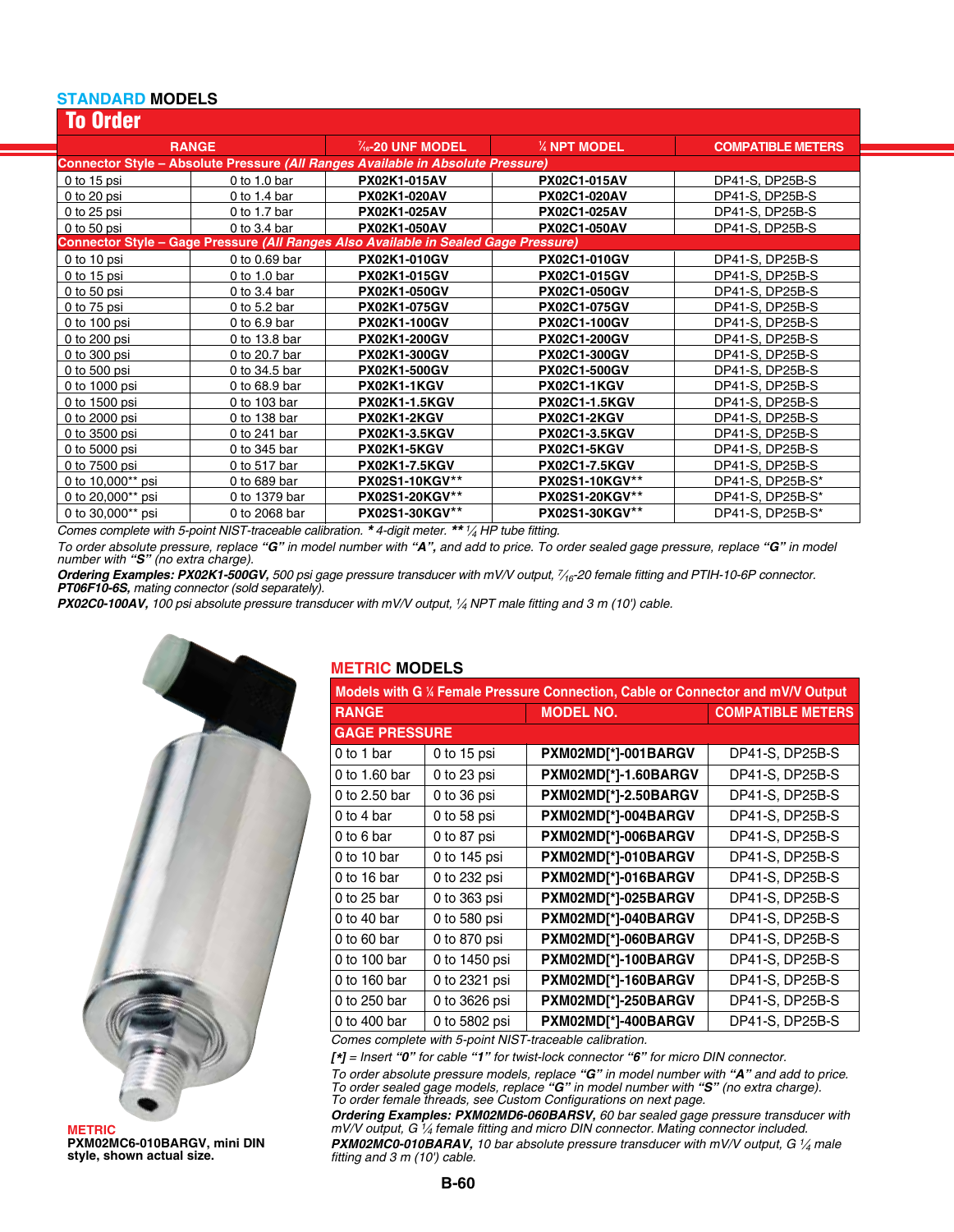## **STANDARD MODELS**

| <b>To Order</b>                                                                 |                |                                                                                     |                      |                          |  |  |  |
|---------------------------------------------------------------------------------|----------------|-------------------------------------------------------------------------------------|----------------------|--------------------------|--|--|--|
|                                                                                 | <b>RANGE</b>   | $\frac{7}{16}$ -20 UNF MODEL<br>$\frac{1}{4}$ NPT MODEL                             |                      | <b>COMPATIBLE METERS</b> |  |  |  |
| Connector Style - Absolute Pressure (All Ranges Available in Absolute Pressure) |                |                                                                                     |                      |                          |  |  |  |
| 0 to 15 psi                                                                     | 0 to 1.0 bar   | PX02K1-015AV                                                                        | <b>PX02C1-015AV</b>  | DP41-S, DP25B-S          |  |  |  |
| 0 to 20 psi                                                                     | 0 to 1.4 bar   | <b>PX02K1-020AV</b>                                                                 | <b>PX02C1-020AV</b>  | DP41-S, DP25B-S          |  |  |  |
| $0$ to 25 psi                                                                   | 0 to 1.7 bar   | <b>PX02K1-025AV</b>                                                                 | <b>PX02C1-025AV</b>  | DP41-S, DP25B-S          |  |  |  |
| 0 to 50 psi                                                                     | 0 to $3.4$ bar | PX02K1-050AV                                                                        | <b>PX02C1-050AV</b>  | DP41-S, DP25B-S          |  |  |  |
|                                                                                 |                | Connector Style - Gage Pressure (All Ranges Also Available in Sealed Gage Pressure) |                      |                          |  |  |  |
| 0 to 10 psi                                                                     | 0 to 0.69 bar  | PX02K1-010GV                                                                        | PX02C1-010GV         | DP41-S, DP25B-S          |  |  |  |
| 0 to 15 psi                                                                     | 0 to 1.0 bar   | PX02K1-015GV                                                                        | PX02C1-015GV         | DP41-S. DP25B-S          |  |  |  |
| 0 to 50 psi                                                                     | 0 to $3.4$ bar | PX02K1-050GV                                                                        | PX02C1-050GV         | DP41-S. DP25B-S          |  |  |  |
| 0 to 75 psi                                                                     | 0 to 5.2 bar   | PX02K1-075GV                                                                        | <b>PX02C1-075GV</b>  | DP41-S, DP25B-S          |  |  |  |
| 0 to 100 psi                                                                    | 0 to $6.9$ bar | PX02K1-100GV                                                                        | PX02C1-100GV         | DP41-S. DP25B-S          |  |  |  |
| 0 to 200 psi                                                                    | 0 to 13.8 bar  | PX02K1-200GV                                                                        | PX02C1-200GV         | DP41-S, DP25B-S          |  |  |  |
| 0 to 300 psi                                                                    | 0 to 20.7 bar  | PX02K1-300GV                                                                        | PX02C1-300GV         | DP41-S, DP25B-S          |  |  |  |
| 0 to 500 psi                                                                    | 0 to 34.5 bar  | <b>PX02K1-500GV</b>                                                                 | <b>PX02C1-500GV</b>  | DP41-S, DP25B-S          |  |  |  |
| 0 to 1000 psi                                                                   | 0 to 68.9 bar  | <b>PX02K1-1KGV</b>                                                                  | <b>PX02C1-1KGV</b>   | DP41-S, DP25B-S          |  |  |  |
| 0 to 1500 psi                                                                   | 0 to 103 bar   | <b>PX02K1-1.5KGV</b>                                                                | <b>PX02C1-1.5KGV</b> | DP41-S, DP25B-S          |  |  |  |
| 0 to 2000 psi                                                                   | 0 to 138 bar   | PX02K1-2KGV                                                                         | <b>PX02C1-2KGV</b>   | DP41-S, DP25B-S          |  |  |  |
| 0 to 3500 psi                                                                   | 0 to 241 bar   | <b>PX02K1-3.5KGV</b>                                                                | <b>PX02C1-3.5KGV</b> | DP41-S, DP25B-S          |  |  |  |
| 0 to 5000 psi                                                                   | 0 to 345 bar   | PX02K1-5KGV                                                                         | <b>PX02C1-5KGV</b>   | DP41-S, DP25B-S          |  |  |  |
| 0 to 7500 psi                                                                   | 0 to 517 bar   | <b>PX02K1-7.5KGV</b>                                                                | <b>PX02C1-7.5KGV</b> | DP41-S, DP25B-S          |  |  |  |
| 0 to 10,000** psi                                                               | 0 to 689 bar   | PX02S1-10KGV**                                                                      | PX02S1-10KGV**       | DP41-S, DP25B-S*         |  |  |  |
| 0 to 20,000** psi                                                               | 0 to 1379 bar  | PX02S1-20KGV**                                                                      | PX02S1-20KGV**       | DP41-S, DP25B-S*         |  |  |  |
| 0 to 30,000** psi                                                               | 0 to 2068 bar  | PX02S1-30KGV**                                                                      | PX02S1-30KGV**       | DP41-S, DP25B-S*         |  |  |  |

*Comes complete with 5-point NIST-traceable calibration. \* 4-digit meter. \*\* 1⁄4 HP tube fitting.* 

*To order absolute pressure, replace "G" in model number with "A", and add to price. To order sealed gage pressure, replace "G" in model number with "S" (no extra charge).* 

*Ordering Examples: PX02K1-500GV, 500 psi gage pressure transducer with mV/V output, 7⁄16-20 female fitting and PTIH-10-6P connector. PT06F10-6S, mating connector (sold separately).* 

*PX02C0-100AV, 100 psi absolute pressure transducer with mV/V output, 1⁄4 NPT male fitting and 3 m (10') cable.* 



**METRIC PXM02MC6-010BARGV, mini DIN style, shown actual size.**

## **METRIC MODELS**

| Models with G 1/4 Female Pressure Connection, Cable or Connector and mV/V Output |               |                      |                          |  |  |  |
|----------------------------------------------------------------------------------|---------------|----------------------|--------------------------|--|--|--|
| <b>RANGE</b>                                                                     |               | <b>MODEL NO.</b>     | <b>COMPATIBLE METERS</b> |  |  |  |
| <b>GAGE PRESSURE</b>                                                             |               |                      |                          |  |  |  |
| 0 to 1 bar                                                                       | 0 to 15 psi   | PXM02MD[*]-001BARGV  | DP41-S, DP25B-S          |  |  |  |
| 0 to 1.60 bar                                                                    | 0 to 23 psi   | PXM02MD[*]-1.60BARGV | DP41-S, DP25B-S          |  |  |  |
| 0 to 2.50 bar                                                                    | 0 to 36 psi   | PXM02MD[*]-2.50BARGV | DP41-S, DP25B-S          |  |  |  |
| 0 to 4 bar                                                                       | 0 to 58 psi   | PXM02MD[*]-004BARGV  | DP41-S, DP25B-S          |  |  |  |
| 0 to 6 bar                                                                       | 0 to 87 psi   | PXM02MD[*]-006BARGV  | DP41-S, DP25B-S          |  |  |  |
| 0 to 10 bar                                                                      | 0 to 145 psi  | PXM02MD[*]-010BARGV  | DP41-S, DP25B-S          |  |  |  |
| 0 to 16 bar                                                                      | 0 to 232 psi  | PXM02MD[*]-016BARGV  | DP41-S, DP25B-S          |  |  |  |
| 0 to 25 bar                                                                      | 0 to 363 psi  | PXM02MD[*]-025BARGV  | DP41-S, DP25B-S          |  |  |  |
| 0 to 40 bar                                                                      | 0 to 580 psi  | PXM02MD[*]-040BARGV  | DP41-S, DP25B-S          |  |  |  |
| 0 to 60 bar                                                                      | 0 to 870 psi  | PXM02MD[*]-060BARGV  | DP41-S, DP25B-S          |  |  |  |
| 0 to 100 bar                                                                     | 0 to 1450 psi | PXM02MD[*]-100BARGV  | DP41-S, DP25B-S          |  |  |  |
| 0 to 160 bar                                                                     | 0 to 2321 psi | PXM02MD[*]-160BARGV  | DP41-S, DP25B-S          |  |  |  |
| 0 to 250 bar                                                                     | 0 to 3626 psi | PXM02MD[*]-250BARGV  | DP41-S, DP25B-S          |  |  |  |
| 0 to 400 bar                                                                     | 0 to 5802 psi | PXM02MD[*]-400BARGV  | DP41-S, DP25B-S          |  |  |  |

*Comes complete with 5-point NIST-traceable calibration.*

*[\*] = Insert "0" for cable "1" for twist-lock connector "6" for micro DIN connector.*

*To order absolute pressure models, replace "G" in model number with "A" and add to price. To order sealed gage models, replace "G" in model number with "S" (no extra charge). To order female threads, see Custom Configurations on next page.*

*Ordering Examples: PXM02MD6-060BARSV, 60 bar sealed gage pressure transducer with mV/V output, G 1⁄4 female fitting and micro DIN connector. Mating connector included. PXM02MC0-010BARAV, 10 bar absolute pressure transducer with mV/V output, G 1⁄4 male fitting and 3 m (10') cable.*